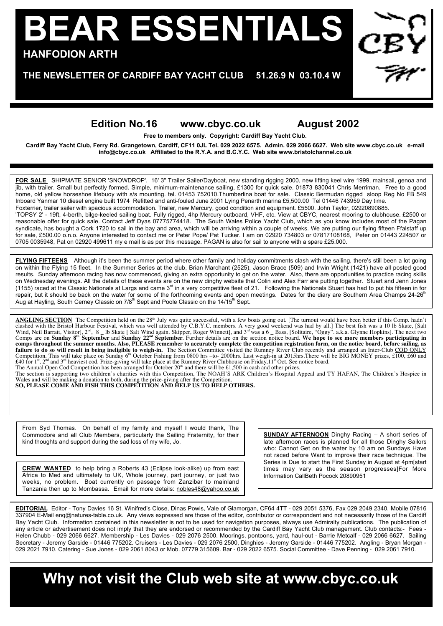## p **HANFODION ARTH BEAR ESSENTIALS**

## p **THE NEWSLETTER OF CARDIFF BAY YACHT CLUB 51.26.9 N 03.10.4 W**

## **Edition No.16 www.cbyc.co.uk August 2002**

**Free to members only. Copyright: Cardiff Bay Yacht Club.**

**Cardiff Bay Yacht Club, Ferry Rd. Grangetown, Cardiff, CF11 0JL Tel. 029 2022 6575. Admin. 029 2066 6627. Web site www.cbyc.co.uk e-mail info@cbyc.co.uk Affiliated to the R.Y.A. and B.C.Y.C. Web site www.bristolchannel.co.uk**

**FOR SALE** SHIPMATE SENIOR 'SNOWDROP'. 16' 3" Trailer Sailer/Dayboat, new standing rigging 2000, new lifting keel wire 1999, mainsail, genoa and jib, with trailer. Small but perfectly formed. Simple, minimum-maintenance sailing, £1300 for quick sale. 01873 830041 Chris Merriman. Free to a good home, old yellow horseshoe lifebuoy with s/s mounting. tel. 01453 752010.Thumberlina boat for sale. Classic Bermudan rigged sloop Reg No FB 549 Inboard Yanmar 10 diesel engine built 1974 Refitted and anti-fouled June 2001 Lying Penarth marina £5,500.00 Tel 01446 743959 Day time. Foxterrier, trailer sailer with spacious accommodation. Trailer, new Mercury, good condition and equipment. £5500. John Taylor, 02920890885. 'TOPSY 2' - 19ft, 4-berth, bilge-keeled sailing boat. Fully rigged, 4hp Mercury outboard, VHF, etc. View at CBYC, nearest mooring to clubhouse. £2500 or reasonable offer for quick sale. Contact Jeff Dyas 07775774418. The South Wales Police Yacht Club, which as you know includes most of the Pagan syndicate, has bought a Cork 1720 to sail in the bay and area, which will be arriving within a couple of weeks. We are putting our flying fifteen Ffalstaff up for sale, £500.00 o.n.o. Anyone interested to contact me or Peter Pope/ Pat Tucker. I am on 02920 734803 or 07817108168, Peter on 01443 224507 or 0705 0035948, Pat on 02920 499611 my e mail is as per this message. PAGAN is also for sail to anyone with a spare £25.000.

**FLYING FIFTEENS** Although it's been the summer period where other family and holiday commitments clash with the sailing, there's still been a lot going on within the Flying 15 fleet. In the Summer Series at the club, Brian Marchant (2525), Jason Brace (509) and Irwin Wright (1421) have all posted good results. Sunday afternoon racing has now commenced, giving an extra opportunity to get on the water. Also, there are opportunities to practice racing skills on Wednesday evenings. All the details of these events are on the new dinghy website that Colin and Alex Farr are putting together. Stuart and Jenn Jones (1155) raced at the Classic Nationals at Largs and came  $3<sup>rd</sup>$  in a very competitive fleet of 21. Following the Nationals Stuart has had to put his fifteen in for repair, but it should be back on the water for some of the forthcoming events and open meetings. Dates for the diary are Southern Area Champs 24-26<sup>th</sup> Aug at Hayling, South Cerney Classic on 7/8<sup>th</sup> Sept and Poole Classic on the 14/15<sup>th</sup> Sept.

**ANGLING SECTION** The Competition held on the 28<sup>th</sup> July was quite successful, with a few boats going out. [The turnout would have been better if this Comp. hadn't clashed with the Bristol Harbour Festival, which was wel failure to do so will result in being ineligible to weigh-in. The Section Committee visited the Rumney River Club recently and arranged an Inter-Club COD ONLY Competition. This will take place on Sunday 6<sup>th</sup> October Fishing from 0800 hrs -to- 2000hrs. Last weigh-in at 2015hrs. There will be BIG MONEY prizes, £100, £60 and<br>£40 for 1<sup>st</sup>, 2<sup>nd</sup> and 3<sup>rd</sup> heaviest cod. Prize-givin The Annual Open Cod Competition has been arranged for October  $20<sup>th</sup>$  and there will be £1,500 in cash and other prizes.

The section is supporting two children's charities with this Competition, The NOAH'S ARK Children's Hospital Appeal and TY HAFAN, The Children's Hospice in<br>Wales and will be making a donation to both, during the prize-givi

SO, PLEASE COME AND FISH THIS COMPETITION AND HELP US TO HELP OTHERS.

From Syd Thomas. On behalf of my family and myself I would thank, The Commodore and all Club Members, particularly the Sailing Fraternity, for their kind thoughts and support during the sad loss of my wife, Jo.

**SUNDAY AFTERNOON** Dinghy Racing – A short series of late afternoon races is planned for all those Dinghy Sailors who: Cannot Get on the water by 10 am on Sundays Have not raced before Want to improve their race technique. The Series is Due to start the First Sunday in August at 4pm[start times may vary as the season progresses]For More Information CallBeth Pocock 20890951

**CREW WANTED** to help bring a Roberts 43 (Eclipse look-alike) up from east Africa to Med and ultimately to UK, Whole journey, part journey, or just two weeks, no problem. Boat currently on passage from Zanzibar to mainland Tanzania then up to Mombassa. Email for more details: nobles48@yahoo.co.uk

Oliver Cheetham.

**EDITORIAL** Editor - Tony Davies 16 St. Winifred's Close, Dinas Powis, Vale of Glamorgan, CF64 4TT - 029 2051 5376, Fax 029 2049 2340. Mobile 07816 337904 E-Mail enq@natures-table.co.uk. Any views expressed are those of the editor, contributor or correspondent and not necessarily those of the Cardiff Bay Yacht Club. Information contained in this newsletter is not to be used for navigation purposes, always use Admiralty publications. The publication of any article or advertisement does not imply that they are endorsed or recommended by the Cardiff Bay Yacht Club management. Club contacts:- Fees - Helen Chubb - 029 2066 6627. Membership - Les Davies - 029 2076 2500. Moorings, pontoons, yard, haul-out - Barrie Metcalf - 029 2066 6627. Sailing Secretary - Jeremy Garside - 01446 775202. Cruisers - Les Davies - 029 2076 2500, Dinghies - Jeremy Garside - 01446 775202. Angling - Bryan Morgan - 029 2021 7910. Catering - Sue Jones - 029 2061 8043 or Mob. 07779 315609. Bar - 029 2022 6575. Social Committee - Dave Penning - 029 2061 7910.

**Why not visit the Club web site at www.cbyc.co.uk**